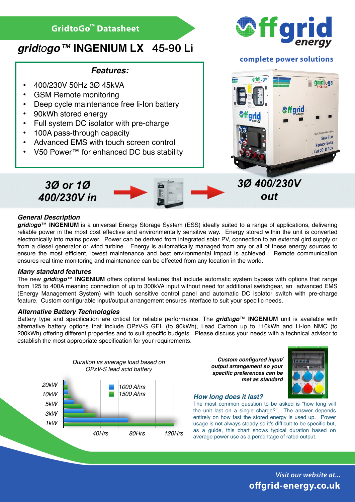# *gridtogo™* **INGENIUM LX 45-90 Li**

# *Features:*

- 400/230V 50Hz 3Ø 45kVA
- GSM Remote monitoring
- Deep cycle maintenance free li-Ion battery
- 90kWh stored energy

*3Ø or 1Ø* 

*400/230V in*

- Full system DC isolator with pre-charge
- 100A pass-through capacity
- Advanced EMS with touch screen control
- V50 Power™ for enhanced DC bus stability



## **complete power solutions**



*3Ø 400/230V out*

## *General Description*

*gridtogo*™ **INGENIUM** is a universal Energy Storage System (ESS) ideally suited to a range of applications, delivering reliable power in the most cost effective and environmentally sensitive way. Energy stored within the unit is converted electronically into mains power. Power can be derived from integrated solar PV, connection to an external gird supply or from a diesel generator or wind turbine. Energy is automatically managed from any or all of these energy sources to ensure the most efficient, lowest maintenance and best environmental impact is achieved. Remote communication ensures real time monitoring and maintenance can be effected from any location in the world.

### *Many standard features*

The new *gridtogo*™ **INGENIUM** offers optional features that include automatic system bypass with options that range from 125 to 400A meaning connection of up to 300kVA input without need for additional switchgear, an advanced EMS (Energy Management System) with touch sensitive control panel and automatic DC isolator switch with pre-charge feature. Custom configurable input/output arrangement ensures interface to suit your specific needs.

### *Alternative Battery Technologies*

Battery type and specification are critical for reliable performance. The *gridtogo*™ **INGENIUM** unit is available with alternative battery options that include OPzV-S GEL (to 90kWh), Lead Carbon up to 110kWh and Li-Ion NMC (to 200kWh) offering different properties and to suit specific budgets. Please discuss your needs with a technical advisor to establish the most appropriate specification for your requirements.



*Custom configured input/ output arrangement so your specific preferences can be met as standard*



#### *How long does it last?*

The most common question to be asked is "how long will the unit last on a single charge?" The answer depends entirely on how fast the stored energy is used up. Power usage is not always steady so it's difficult to be specific but, as a guide, this chart shows typical duration based on average power use as a percentage of rated output.

> *Visit our website at...* **o!grid-energy.co.uk**